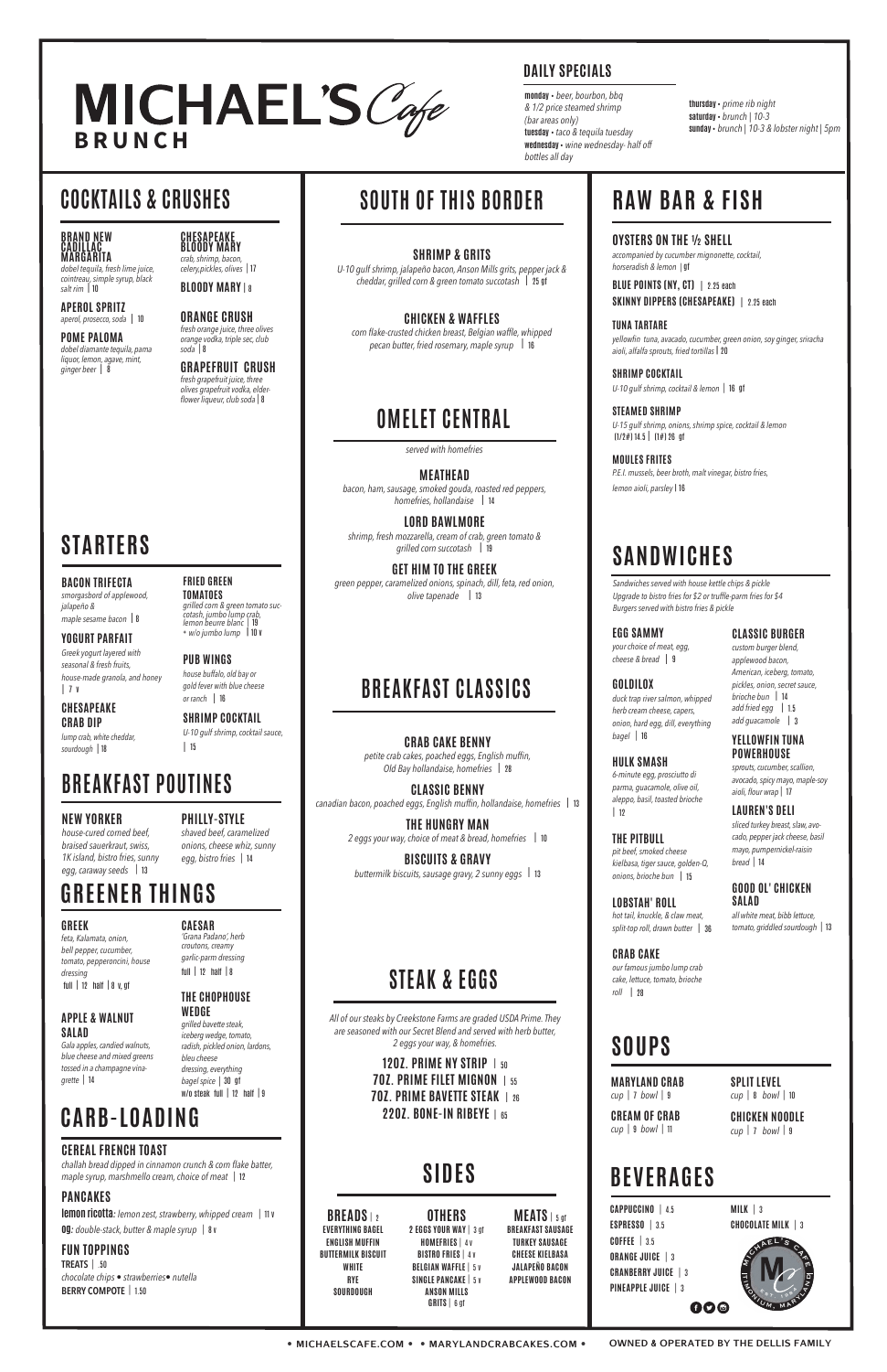#### **BACON TRIFECTA**

*smorgasbord of applewood, jalapeño & maple sesame bacon* | <sup>8</sup>

**YOGURT PARFAIT** *Greek yogurt layered with seasonal & fresh fruits, house-made granola, and honey* | 7 v

#### **CHESAPEAKE CRAB DIP**

*lump crab, white cheddar, sourdough* | 18

**FRIED GREEN TOMATOES**

*grilled corn & green tomato succotash, jumbo lump crab, lemon beurre blanc |* 19

+ *w/o jumbo lump* | 10 v **PUB WINGS** *house buffalo, old bay or gold fever with blue cheese* 

# *or ranch* | 16

**SHRIMP COCKTAIL** *U-10 gulf shrimp, cocktail sauce,*  | 15

# **STARTERS**

#### **BRAND NEW CADILLAC MARGARITA**

*dobel tequila, fresh lime juice, cointreau, simple syrup, black salt rim* | <sup>10</sup>

**APEROL SPRITZ** *aperol, prosecco, soda* | 10

**POME PALOMA** *dobel diamante tequila, pama liquor, lemon, agave, mint, ginger beer* | 8

#### **CHESAPEAKE BLOODY MARY** *crab, shrimp, bacon,*

*celery,pickles, olives |* 17 **BLOODY MARY** | <sup>8</sup>

**ORANGE CRUSH** *fresh orange juice, three olives orange vodka, triple sec, club* 

> **STEAMED SHRIMP** *U-15 gulf shrimp, onions, shrimp spice, cocktail & lemon*  $(1/2\#) 14.5$  |  $(1\#) 26$  af

*soda |* 8

**GRAPEFRUIT CRUSH** *fresh grapefruit juice, three olives grapefruit vodka, elder-*

*flower liqueur, club soda |* 8

# **MICHAEL'S** Cofe

## **COCKTAILS & CRUSHES**

## **BREAKFAST POUTINES**

### **NEW YORKER**

*house-cured corned beef, braised sauerkraut, swiss, 1K island, bistro fries, sunny egg, caraway seeds |* <sup>13</sup>

**PHILLY-STYLE**

*shaved beef, caramelized onions, cheese whiz, sunny egg, bistro fries |* <sup>14</sup>

## **BEVERAGES**

| <b>CAPPUCCINO</b>   4.5    |
|----------------------------|
| ESPRESSO $\mid$ 3.5        |
| $C0$ FFEE $\vert$ 3.5      |
| <b>ORANGE JUICE   3</b>    |
| <b>CRANBERRY JUICE</b>   3 |
| PINEAPPLE JUICE   3        |
| 600                        |

**MILK** *|* <sup>3</sup> **CHOCOLATE MILK** *|* <sup>3</sup>

## **RAW BAR & FISH**

**OYSTERS ON THE ½ SHELL** *accompanied by cucumber mignonette, cocktail, horseradish & lemon |* gf

**BLUE POINTS (NY, CT)** | 2.25 each **SKINNY DIPPERS (CHESAPEAKE)** | 2.25 each

> m<sup>i</sup>chael'<sup>s</sup> <sup>c</sup>a<sup>f</sup> m ti**RAMON, MARYLAND**  $^s s$   $^r$  $198^{b}$

**TUNA TARTARE** *yellowfin tuna, avacado, cucumber, green onion, soy ginger, sriracha aioli, alfalfa sprouts, fried tortillas* | 20

**SHRIMP COCKTAIL** *U-10 gulf shrimp, cocktail & lemon |* 16 gf

**MOULES FRITES** *P.E.I. mussels, beer broth, malt vinegar, bistro fries, lemon aioli, parsley* | 16

# **GREENER THINGS**

#### **GREEK**

*feta, Kalamata, onion, bell pepper, cucumber, tomato, pepperoncini, house dressing* 

full | <sup>12</sup>half | 8 v, gf

#### **APPLE & WALNUT SALAD**

*Gala apples, candied walnuts, blue cheese and mixed greens tossed in a champagne vinagrette |* 14

**CAESAR** *'Grana Padano', herb croutons, creamy garlic-parm dressing* full | <sup>12</sup>half | <sup>8</sup>

**THE CHOPHOUSE** 

**WEDGE** *grilled bavette steak, iceberg wedge, tomato, radish, pickled onion, lardons, bleu cheese dressing, everything bagel spice |* 30 gf w/o steak full | <sup>12</sup>half | <sup>9</sup>

## **CARB-LOADING**

### **CEREAL FRENCH TOAST**

*challah bread dipped in cinnamon crunch & corn flake batter, maple syrup, marshmello cream, choice of meat |* <sup>12</sup>

#### **PANCAKES**

**lemon ricotta***: lemon zest, strawberry, whipped cream |* 11 v **og***: double-stack, butter & maple syrup |* 8 v

#### **FUN TOPPINGS**

**TREATS** *|* .50 *chocolate chips • strawberries• nutella* **BERRY COMPOTE** *|* 1.50

| <b>BREADS</b> $\frac{1}{2}$ | OTHERS                             | $MEATS$   5 gf           |
|-----------------------------|------------------------------------|--------------------------|
| <b>EVERYTHING BAGEL</b>     | 2 EGGS YOUR WAY   3 gf             | <b>BREAKFAST SAUSAGE</b> |
| <b>ENGLISH MUFFIN</b>       | <b>HOMEFRIES</b>   4 V             | <b>TURKEY SAUSAGE</b>    |
| BUTTERMILK BISCUIT          | <b>BISTRO FRIES   4 V</b>          | <b>CHEESE KIELBASA</b>   |
| WHITE                       | <b>BELGIAN WAFFLE   5 V</b>        | JALAPEÑO BACON           |
| RYE                         | <b>SINGLE PANCAKE   5 V</b>        | <b>APPLEWOOD BACON</b>   |
| SOURDOUGH                   | <b>ANSON MILLS</b><br>GRITS   6 af |                          |
|                             |                                    |                          |

**• MICHAELSCAFE.COM • • MARYLANDCRABCAKES.COM • OWNED & OPERATED BY THE DELLIS FAMILY**

**SOUTH OF THIS BORDER**

# **SHRIMP & GRITS**

*U-10 gulf shrimp, jalapeño bacon, Anson Mills grits, pepper jack & cheddar, grilled corn & green tomato succotash* | 25 gf

**CHICKEN & WAFFLES** *corn flake-crusted chicken breast, Belgian waffle, whipped pecan butter, fried rosemary, maple syrup* | <sup>16</sup>

## **BREAKFAST CLASSICS**

**CRAB CAKE BENNY** *petite crab cakes, poached eggs, English muffin, Old Bay hollandaise, homefries* | <sup>28</sup>

**CLASSIC BENNY** *canadian bacon, poached eggs, English muffin, hollandaise, homefries* | <sup>13</sup>

**THE HUNGRY MAN** *2 eggs your way, choice of meat & bread, homefries* | <sup>10</sup>

**BISCUITS & GRAVY** *buttermilk biscuits, sausage gravy, 2 sunny eggs* | <sup>13</sup>

## **STEAK & EGGS**

*All of our steaks by Creekstone Farms are graded USDA Prime. They are seasoned with our Secret Blend and served with herb butter, 2 eggs your way, & homefries.*

> **12OZ. PRIME NY STRIP**| <sup>50</sup> **7OZ. PRIME FILET MIGNON**| <sup>55</sup> **7OZ. PRIME BAVETTE STEAK**| <sup>26</sup> **22OZ. BONE-IN RIBEYE**| <sup>65</sup>

## **SANDWICHES**

**EGG SAMMY** *your choice of meat, egg, cheese & bread* | 9

**GOLDILOX**

*duck trap river salmon, whipped herb cream cheese, capers, onion, hard egg, dill, everything* 

*bagel |* <sup>16</sup>

 $| 12$ 

**HULK SMASH** *6-minute egg, prosciutto di parma, guacamole, olive oil, aleppo, basil, toasted brioche* 

**THE PITBULL** *pit beef, smoked cheese kielbasa, tiger sauce, golden-Q, onions, brioche bun* | <sup>15</sup>

**LOBSTAH' ROLL** *hot tail, knuckle, & claw meat, split-top roll, drawn butter* | <sup>36</sup>

**CRAB CAKE** *our famous jumbo lump crab cake, lettuce, tomato, brioche roll* | <sup>28</sup>

**CLASSIC BURGER**

*custom burger blend, applewood bacon, American, iceberg, tomato, pickles, onion, secret sauce, brioche bun* | <sup>14</sup> *add fried egg* | 1.5 *add guacamole* | <sup>3</sup>

#### **YELLOWFIN TUNA POWERHOUSE**

*sprouts, cucumber, scallion, avocado, spicy mayo, maple-soy aioli, flour wrap |* 17

#### **LAUREN'S DELI**

*sliced turkey breast, slaw, avocado, pepper jack cheese, basil mayo, pumpernickel-raisin bread |* 14

**GOOD OL' CHICKEN SALAD** 

*all white meat, bibb lettuce, tomato, griddled sourdough |* 13

*Sandwiches served with house kettle chips & pickle Upgrade to bistro fries for \$2 or truffle-parm fries for \$4 Burgers served with bistro fries & pickle*

**MARYLAND CRAB** *cup |* 7 *bowl |* <sup>9</sup>

**CREAM OF CRAB** *cup |* 9 *bowl |* <sup>11</sup>

**SPLIT LEVEL** *cup |* 8 *bowl |* <sup>10</sup>

**CHICKEN NOODLE** *cup |* 7 *bowl |* <sup>9</sup>

## **OMELET CENTRAL**

**MEATHEAD** *bacon, ham, sausage, smoked gouda, roasted red peppers, homefries, hollandaise* | <sup>14</sup>

**LORD BAWLMORE** *shrimp, fresh mozzarella, cream of crab, green tomato & grilled corn succotash* | <sup>19</sup>

**GET HIM TO THE GREEK** *green pepper, caramelized onions, spinach, dill, feta, red onion, olive tapenade* | <sup>13</sup>

*served with homefries*

## **SIDES**

**thursday** • *prime rib night* **saturday** • *brunch | 10-3* **sunday** • *brunch | 10-3 & lobster night | 5pm*

**monday** • *beer, bourbon, bbq & 1/2 price steamed shrimp (bar areas only)* **tuesday** • *taco & tequila tuesday* **wednesday** • *wine wednesday- half off bottles all day*

## **DAILY SPECIALS**

## **SOUPS**